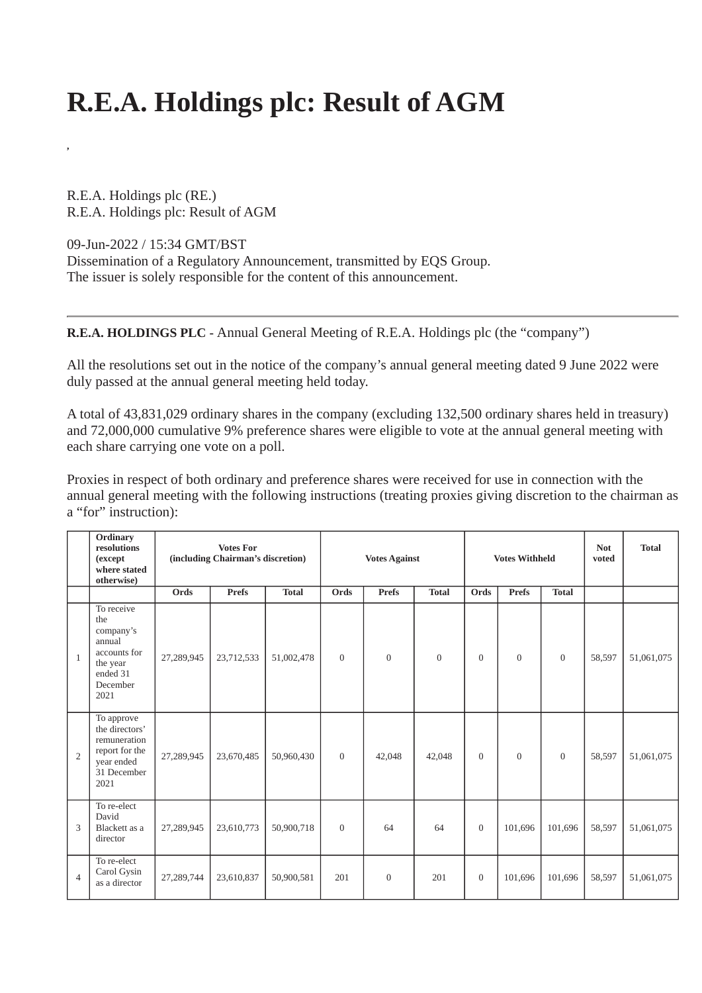## **R.E.A. Holdings plc: Result of AGM**

R.E.A. Holdings plc (RE.) R.E.A. Holdings plc: Result of AGM

09-Jun-2022 / 15:34 GMT/BST

**,**

Dissemination of a Regulatory Announcement, transmitted by EQS Group. The issuer is solely responsible for the content of this announcement.

**R.E.A. HOLDINGS PLC -** Annual General Meeting of R.E.A. Holdings plc (the "company")

All the resolutions set out in the notice of the company's annual general meeting dated 9 June 2022 were duly passed at the annual general meeting held today.

A total of 43,831,029 ordinary shares in the company (excluding 132,500 ordinary shares held in treasury) and 72,000,000 cumulative 9% preference shares were eligible to vote at the annual general meeting with each share carrying one vote on a poll.

Proxies in respect of both ordinary and preference shares were received for use in connection with the annual general meeting with the following instructions (treating proxies giving discretion to the chairman as a "for" instruction):

|                | Ordinary<br>resolutions<br>(except<br>where stated<br>otherwise)                                     | <b>Votes For</b><br>(including Chairman's discretion) |              |              | <b>Votes Against</b> |              |              | <b>Votes Withheld</b> |                |                | <b>Not</b><br>voted | <b>Total</b> |
|----------------|------------------------------------------------------------------------------------------------------|-------------------------------------------------------|--------------|--------------|----------------------|--------------|--------------|-----------------------|----------------|----------------|---------------------|--------------|
|                |                                                                                                      | Ords                                                  | <b>Prefs</b> | <b>Total</b> | Ords                 | <b>Prefs</b> | <b>Total</b> | Ords                  | Prefs          | <b>Total</b>   |                     |              |
| 1              | To receive<br>the<br>company's<br>annual<br>accounts for<br>the year<br>ended 31<br>December<br>2021 | 27,289,945                                            | 23,712,533   | 51,002,478   | $\mathbf{0}$         | $\mathbf{0}$ | $\mathbf{0}$ | $\Omega$              | $\overline{0}$ | $\overline{0}$ | 58,597              | 51,061,075   |
| $\overline{2}$ | To approve<br>the directors'<br>remuneration<br>report for the<br>year ended<br>31 December<br>2021  | 27,289,945                                            | 23,670,485   | 50,960,430   | $\mathbf{0}$         | 42,048       | 42,048       | $\Omega$              | $\overline{0}$ | $\overline{0}$ | 58,597              | 51,061,075   |
| 3              | To re-elect<br>David<br>Blackett as a<br>director                                                    | 27,289,945                                            | 23,610,773   | 50,900,718   | $\mathbf{0}$         | 64           | 64           | $\mathbf{0}$          | 101,696        | 101,696        | 58,597              | 51,061,075   |
| $\overline{4}$ | To re-elect<br>Carol Gysin<br>as a director                                                          | 27,289,744                                            | 23,610,837   | 50,900,581   | 201                  | $\mathbf{0}$ | 201          | $\mathbf{0}$          | 101,696        | 101,696        | 58,597              | 51,061,075   |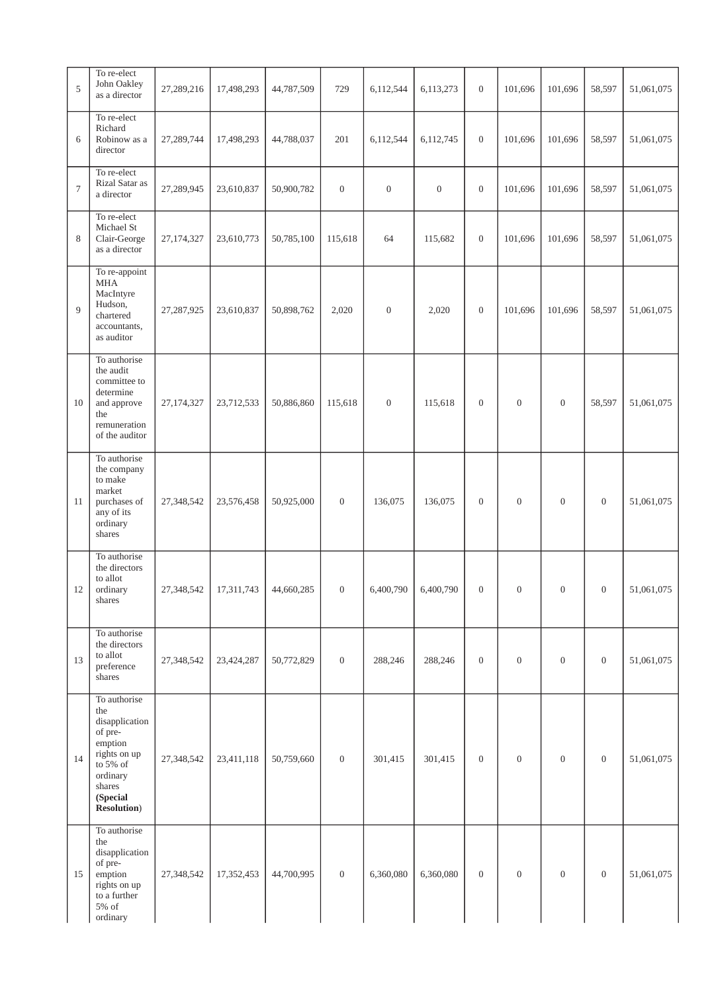| 5              | To re-elect<br>John Oakley<br>as a director                                                                                                      | 27,289,216 | 17,498,293 | 44,787,509 | 729              | 6,112,544        | 6,113,273        | $\boldsymbol{0}$ | 101,696        | 101,696          | 58,597           | 51,061,075 |
|----------------|--------------------------------------------------------------------------------------------------------------------------------------------------|------------|------------|------------|------------------|------------------|------------------|------------------|----------------|------------------|------------------|------------|
| 6              | To re-elect<br>Richard<br>Robinow as a<br>director                                                                                               | 27,289,744 | 17,498,293 | 44,788,037 | 201              | 6,112,544        | 6,112,745        | $\boldsymbol{0}$ | 101,696        | 101,696          | 58,597           | 51,061,075 |
| $\overline{7}$ | To re-elect<br>Rizal Satar as<br>a director                                                                                                      | 27,289,945 | 23,610,837 | 50,900,782 | $\boldsymbol{0}$ | $\boldsymbol{0}$ | $\boldsymbol{0}$ | $\boldsymbol{0}$ | 101,696        | 101,696          | 58,597           | 51,061,075 |
| 8              | To re-elect<br>Michael St<br>Clair-George<br>as a director                                                                                       | 27,174,327 | 23,610,773 | 50,785,100 | 115,618          | 64               | 115,682          | $\boldsymbol{0}$ | 101,696        | 101,696          | 58,597           | 51,061,075 |
| 9              | To re-appoint<br><b>MHA</b><br>MacIntyre<br>Hudson,<br>chartered<br>accountants,<br>as auditor                                                   | 27,287,925 | 23,610,837 | 50,898,762 | 2,020            | $\mathbf{0}$     | 2,020            | $\boldsymbol{0}$ | 101,696        | 101,696          | 58,597           | 51,061,075 |
| 10             | To authorise<br>the audit<br>committee to<br>determine<br>and approve<br>the<br>remuneration<br>of the auditor                                   | 27,174,327 | 23,712,533 | 50,886,860 | 115,618          | $\boldsymbol{0}$ | 115,618          | $\boldsymbol{0}$ | $\mathbf{0}$   | $\mathbf{0}$     | 58,597           | 51,061,075 |
| 11             | To authorise<br>the company<br>to make<br>market<br>purchases of<br>any of its<br>ordinary<br>shares                                             | 27,348,542 | 23,576,458 | 50,925,000 | $\boldsymbol{0}$ | 136,075          | 136,075          | $\boldsymbol{0}$ | $\mathbf{0}$   | $\mathbf{0}$     | $\mathbf{0}$     | 51,061,075 |
| 12             | To authorise<br>the directors<br>to allot<br>ordinary<br>shares                                                                                  | 27,348,542 | 17,311,743 | 44,660,285 | $\boldsymbol{0}$ | 6,400,790        | 6,400,790        | $\boldsymbol{0}$ | $\mathbf{0}$   | $\boldsymbol{0}$ | $\boldsymbol{0}$ | 51,061,075 |
| 13             | To authorise<br>the directors<br>to allot<br>preference<br>shares                                                                                | 27,348,542 | 23,424,287 | 50,772,829 | $\mathbf{0}$     | 288,246          | 288,246          | $\overline{0}$   | $\mathbf{0}$   | $\overline{0}$   | $\boldsymbol{0}$ | 51,061,075 |
| 14             | To authorise<br>the<br>disapplication<br>of pre-<br>emption<br>rights on up<br>to 5% of<br>ordinary<br>shares<br>(Special<br><b>Resolution</b> ) | 27,348,542 | 23,411,118 | 50,759,660 | $\mathbf{0}$     | 301,415          | 301,415          | $\mathbf{0}$     | $\overline{0}$ | $\mathbf{0}$     | $\mathbf{0}$     | 51,061,075 |
| 15             | To authorise<br>the<br>disapplication<br>of pre-<br>emption<br>rights on up<br>to a further<br>5% of<br>ordinary                                 | 27,348,542 | 17,352,453 | 44,700,995 | $\overline{0}$   | 6,360,080        | 6,360,080        | $\overline{0}$   | $\overline{0}$ | $\mathbf{0}$     | $\boldsymbol{0}$ | 51,061,075 |